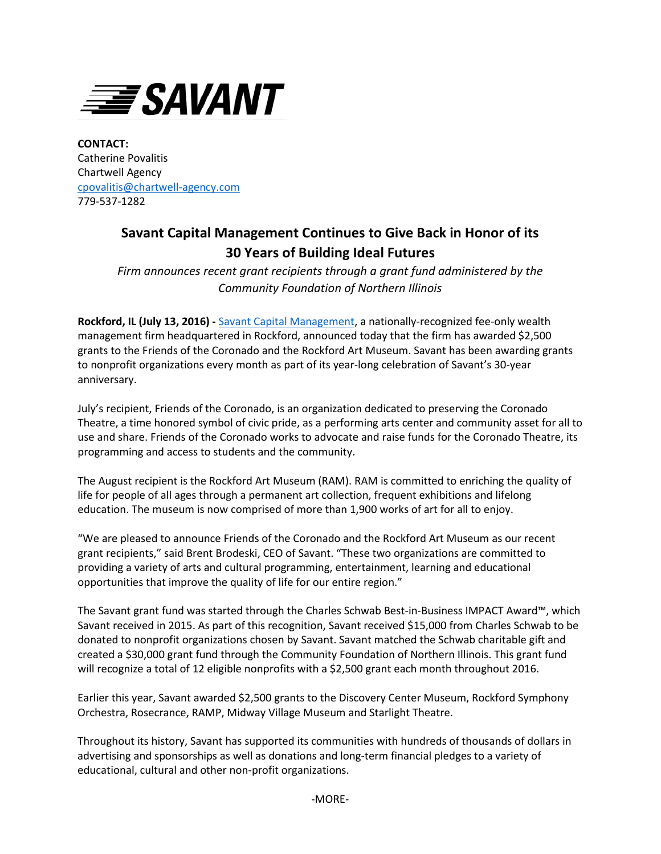

**CONTACT:** Catherine Povalitis Chartwell Agency [cpovalitis@chartwell-agency.com](mailto:cpovalitis@chartwell-agency.com) 779-537-1282

## **Savant Capital Management Continues to Give Back in Honor of its 30 Years of Building Ideal Futures**

*Firm announces recent grant recipients through a grant fund administered by the Community Foundation of Northern Illinois*

**Rockford, IL (July 13, 2016) -** [Savant Capital Management,](http://www.savantcapital.com/) a nationally-recognized fee-only wealth management firm headquartered in Rockford, announced today that the firm has awarded \$2,500 grants to the Friends of the Coronado and the Rockford Art Museum. Savant has been awarding grants to nonprofit organizations every month as part of its year-long celebration of Savant's 30-year anniversary.

July's recipient, Friends of the Coronado, is an organization dedicated to preserving the Coronado Theatre, a time honored symbol of civic pride, as a performing arts center and community asset for all to use and share. Friends of the Coronado works to advocate and raise funds for the Coronado Theatre, its programming and access to students and the community.

The August recipient is the Rockford Art Museum (RAM). RAM is committed to enriching the quality of life for people of all ages through a permanent art collection, frequent exhibitions and lifelong education. The museum is now comprised of more than 1,900 works of art for all to enjoy.

"We are pleased to announce Friends of the Coronado and the Rockford Art Museum as our recent grant recipients," said Brent Brodeski, CEO of Savant. "These two organizations are committed to providing a variety of arts and cultural programming, entertainment, learning and educational opportunities that improve the quality of life for our entire region."

The Savant grant fund was started through the Charles Schwab Best-in-Business IMPACT Award™, which Savant received in 2015. As part of this recognition, Savant received \$15,000 from Charles Schwab to be donated to nonprofit organizations chosen by Savant. Savant matched the Schwab charitable gift and created a \$30,000 grant fund through the Community Foundation of Northern Illinois. This grant fund will recognize a total of 12 eligible nonprofits with a \$2,500 grant each month throughout 2016.

Earlier this year, Savant awarded \$2,500 grants to the Discovery Center Museum, Rockford Symphony Orchestra, Rosecrance, RAMP, Midway Village Museum and Starlight Theatre.

Throughout its history, Savant has supported its communities with hundreds of thousands of dollars in advertising and sponsorships as well as donations and long-term financial pledges to a variety of educational, cultural and other non-profit organizations.